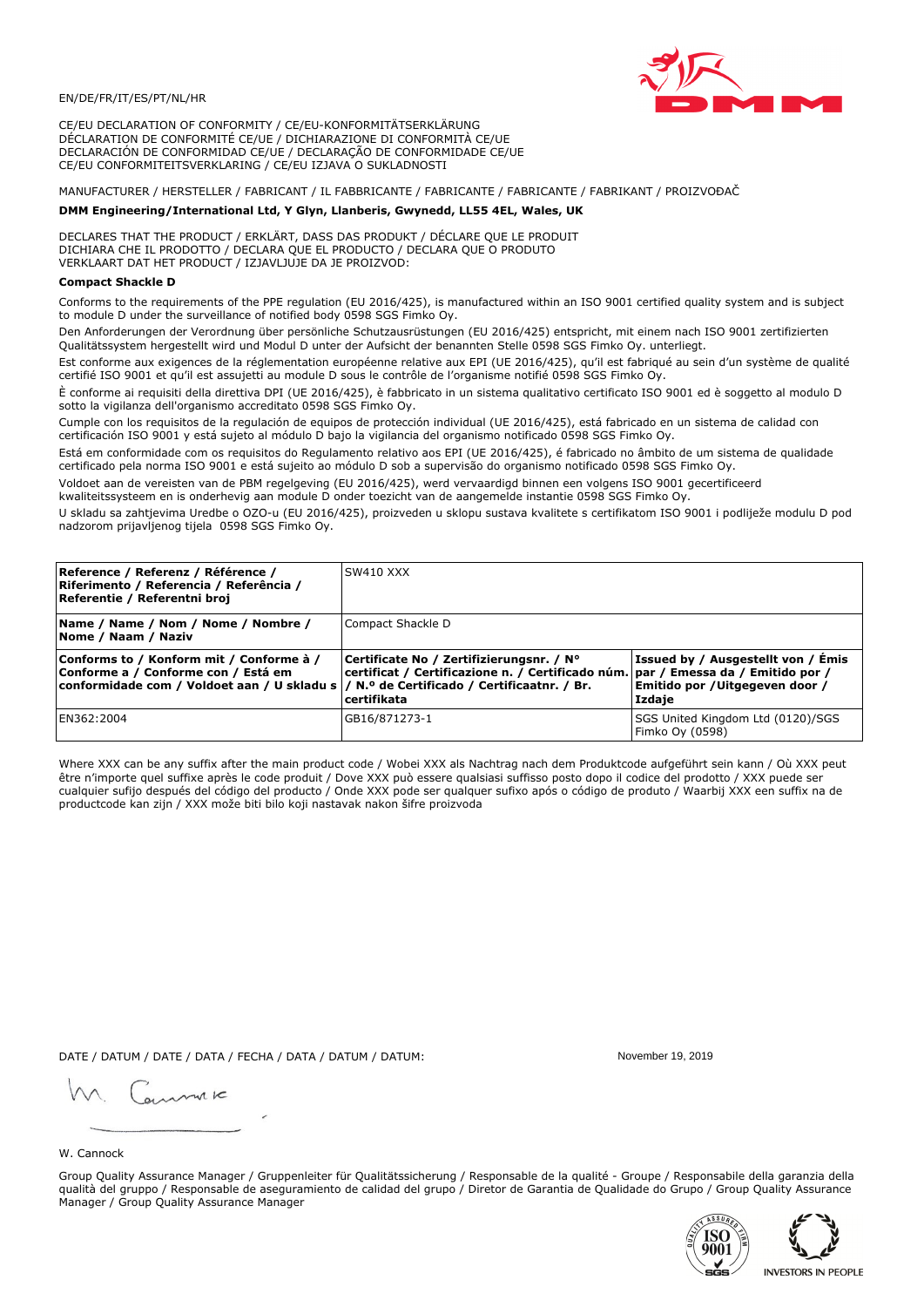

CE/EU DECLARATION OF CONFORMITY / CE/EU-KONFORMITÄTSERKLÄRUNG DÉCLARATION DE CONFORMITÉ CE/UE / DICHIARAZIONE DI CONFORMITÀ CE/UE DECLARACIÓN DE CONFORMIDAD CE/UE / DECLARAÇÃO DE CONFORMIDADE CE/UE CE/EU CONFORMITEITSVERKLARING / CE/EU IZJAVA O SUKLADNOSTI

# MANUFACTURER / HERSTELLER / FABRICANT / IL FABBRICANTE / FABRICANTE / FABRICANTE / FABRIKANT / PROIZVOĐAČ

## DMM Engineering/International Ltd, Y Glyn, Llanberis, Gwynedd, LL55 4EL, Wales, UK

DECLARES THAT THE PRODUCT / ERKLÄRT, DASS DAS PRODUKT / DÉCLARE QUE LE PRODUIT<br>DICHIARA CHE IL PRODOTTO / DECLARA QUE EL PRODUCTO / DECLARA QUE O PRODUTO VERKLAART DAT HET PRODUCT / IZJAVLJUJE DA JE PROIZVOD:

### **Compact Shackle D**

Conforms to the requirements of the PPE regulation (EU 2016/425), is manufactured within an ISO 9001 certified quality system and is subject to module D under the surveillance of notified body 0598 SGS Fimko Ov.

Den Anforderungen der Verordnung über persönliche Schutzausrüstungen (EU 2016/425) entspricht, mit einem nach ISO 9001 zertifizierten Qualitätssystem hergestellt wird und Modul D unter der Aufsicht der benannten Stelle 0598 SGS Fimko Oy. unterliegt.

Est conforme aux exigences de la réglementation européenne relative aux EPI (UE 2016/425), qu'il est fabriqué au sein d'un système de qualité certifié ISO 9001 et qu'il est assujetti au module D sous le contrôle de l'organisme notifié 0598 SGS Fimko Oy.

È conforme ai requisiti della direttiva DPI (UE 2016/425), è fabbricato in un sistema qualitativo certificato ISO 9001 ed è soggetto al modulo D sotto la vigilanza dell'organismo accreditato 0598 SGS Fimko Oy.

Cumple con los requisitos de la regulación de equipos de protección individual (UE 2016/425), está fabricado en un sistema de calidad con certificación ISO 9001 y está sujeto al módulo D bajo la vigilancia del organismo notificado 0598 SGS Fimko Oy.

Está em conformidade com os requisitos do Regulamento relativo aos EPI (UE 2016/425), é fabricado no âmbito de um sistema de qualidade certificado pela norma ISO 9001 e está sujeito ao módulo D sob a supervisão do organismo notificado 0598 SGS Fimko Oy.

Voldoet aan de vereisten van de PBM regelgeving (EU 2016/425), werd vervaardigd binnen een volgens ISO 9001 gecertificeerd kwaliteitssysteem en is onderhevig aan module D onder toezicht van de aangemelde instantie 0598 SGS Fimko Oy.

U skladu sa zahtjevima Uredbe o OZO-u (EU 2016/425), proizveden u sklopu sustava kvalitete s certifikatom ISO 9001 i podliježe modulu D pod nadzorom prijavljenog tijela 0598 SGS Fimko Oy.

| Reference / Referenz / Référence /<br>Riferimento / Referencia / Referência /<br>Referentie / Referentni broj                                                              | <b>SW410 XXX</b>                                                                                                                                   |                                                                                |
|----------------------------------------------------------------------------------------------------------------------------------------------------------------------------|----------------------------------------------------------------------------------------------------------------------------------------------------|--------------------------------------------------------------------------------|
| Name / Name / Nom / Nome / Nombre /<br>Nome / Naam / Naziv                                                                                                                 | Compact Shackle D                                                                                                                                  |                                                                                |
| Conforms to / Konform mit / Conforme à /<br>Conforme a / Conforme con / Está em<br>conformidade com / Voldoet aan / U skladu s / N.º de Certificado / Certificaatnr. / Br. | Certificate No / Zertifizierungsnr. / N°<br>  certificat / Certificazione n. / Certificado núm.   par / Emessa da / Emitido por /<br>l certifikata | Issued by / Ausgestellt von / Emis<br>Emitido por /Uitgegeven door /<br>Izdaje |
| EN362:2004                                                                                                                                                                 | GB16/871273-1                                                                                                                                      | SGS United Kingdom Ltd (0120)/SGS<br>Fimko Oy (0598)                           |

Where XXX can be any suffix after the main product code / Wobei XXX als Nachtrag nach dem Produktcode aufgeführt sein kann / Où XXX peut être n'importe quel suffixe après le code produit / Dove XXX può essere qualsiasi suffisso posto dopo il codice del prodotto / XXX puede ser cualquier sufijo después del código del producto / Onde XXX pode ser qualquer sufixo após o código de produto / Waarbij XXX een suffix na de productcode kan zijn / XXX može biti bilo koji nastavak nakon šifre proizvoda

DATE / DATUM / DATE / DATA / FECHA / DATA / DATUM / DATUM:

gimmic

November 19 2019



Group Quality Assurance Manager / Gruppenleiter für Qualitätssicherung / Responsable de la qualité - Groupe / Responsabile della garanzia della qualità del gruppo / Responsable de aseguramiento de calidad del grupo / Diretor de Garantia de Qualidade do Grupo / Group Quality Assurance Manager / Group Quality Assurance Manager



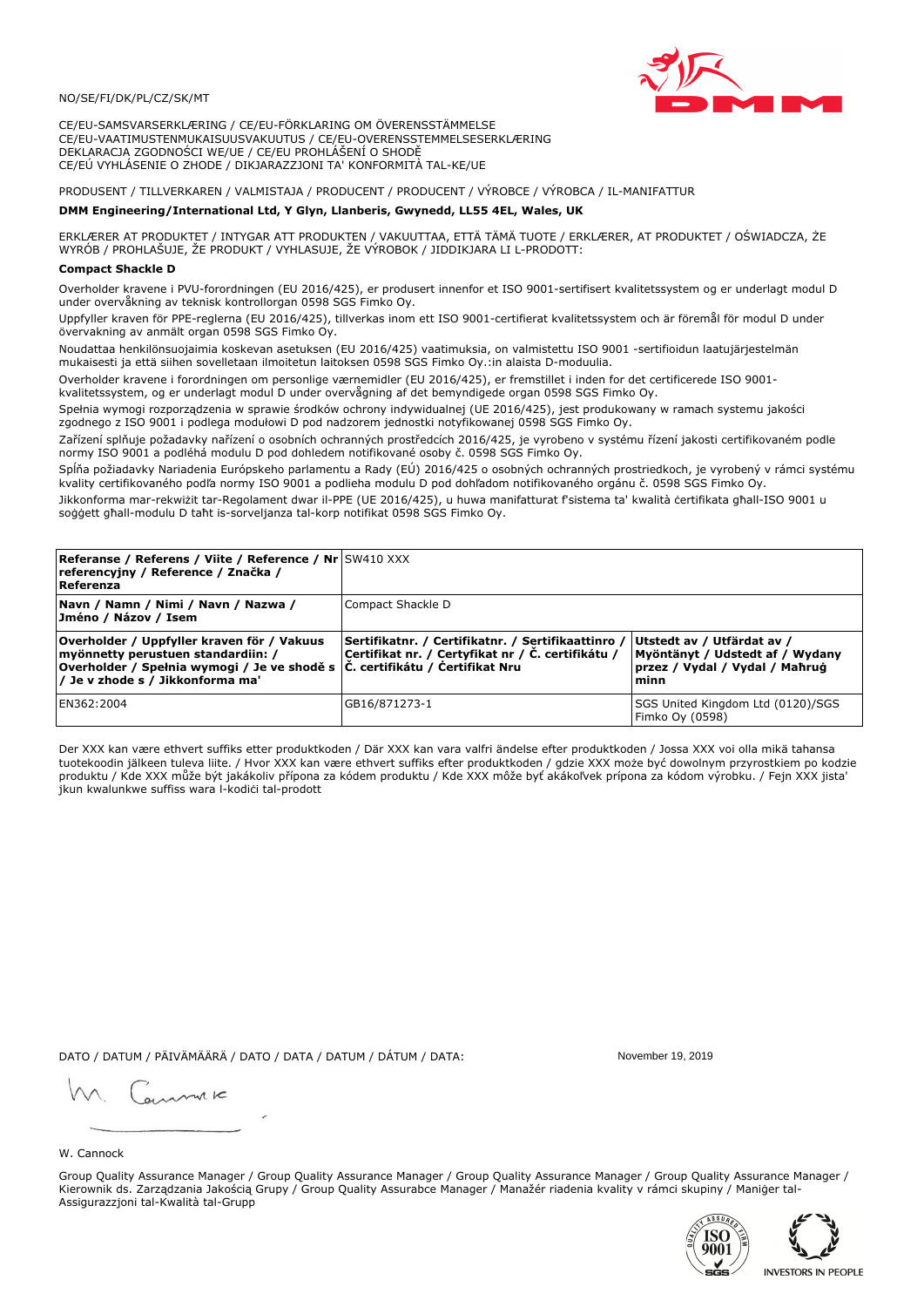

CE/EU-SAMSVARSERKLÆRING / CE/EU-FÖRKLARING OM ÖVERENSSTÄMMELSE CE/EU-VAATIMUSTENMUKAISUUSVAKUUTUS / CE/EU-OVERENSSTEMMELSESERKLÆRING DEKLARACJA ZGODNOŚCI WE/UE / CE/EU PROHLÁŠENÍ O SHODĚ CE/EÚ VYHLÁSENIE O ZHODE / DIKJARAZZJONI TA' KONFORMITÀ TAL-KE/UE

# PRODUSENT / TILLVERKAREN / VALMISTAJA / PRODUCENT / PRODUCENT / VÝROBCE / VÝROBCA / IL-MANIFATTUR

### DMM Engineering/International Ltd, Y Glyn, Llanberis, Gwynedd, LL55 4EL, Wales, UK

ERKLÆRER AT PRODUKTET / INTYGAR ATT PRODUKTEN / VAKUUTTAA, ETTÄ TÄMÄ TUOTE / ERKLÆRER, AT PRODUKTET / OŚWIADCZA, ŻE<br>WYRÓB / PROHLAŠUJE, ŽE PRODUKT / VYHLASUJE, ŽE VÝROBOK / JIDDIKJARA LI L-PRODOTT:

Overholder kravene i PVU-forordningen (EU 2016/425), er produsert innenfor et ISO 9001-sertifisert kvalitetssystem og er underlagt modul D under overvåkning av teknisk kontrollorgan 0598 SGS Fimko Oy.

Uppfyller kraven för PPE-reglerna (EU 2016/425), tillverkas inom ett ISO 9001-certifierat kvalitetssystem och är föremål för modul D under övervakning av anmält organ 0598 SGS Fimko Oy.

Noudattaa henkilönsuojaimia koskevan asetuksen (EU 2016/425) vaatimuksia, on valmistettu ISO 9001 -sertifioidun laatujärjestelmän mukaisesti ja että siihen sovelletaan ilmoitetun laitoksen 0598 SGS Fimko Oy.:in alaista D-moduulia.

Overholder kravene i forordningen om personlige værnemidler (EU 2016/425), er fremstillet i inden for det certificerede ISO 9001kvalitetssystem, og er underlagt modul D under overvågning af det bemyndigede organ 0598 SGS Fimko Oy.

Spełnia wymogi rozporządzenia w sprawie środków ochrony indywidualnej (UE 2016/425), jest produkowany w ramach systemu jakości zgodnego z ISO 9001 i podlega modułowi D pod nadzorem jednostki notyfikowanej 0598 SGS Fimko Oy.

Zařízení splňuje požadavky nařízení o osobních ochranných prostředcích 2016/425, je vyrobeno v systému řízení jakosti certifikovaném podle normy ISO 9001 a podléhá modulu D pod dohledem notifikované osoby č. 0598 SGS Fimko Oy.

Spĺňa požiadavky Nariadenia Európskeho parlamentu a Rady (EÚ) 2016/425 o osobných ochranných prostriedkoch, je vyrobený v rámci systému kvality certifikovaného podľa normy ISO 9001 a podlieha modulu D pod dohľadom notifikovaného orgánu č. 0598 SGS Fimko Oy.

Jikkonforma mar-rekwiżit tar-Regolament dwar il-PPE (UE 2016/425), u huwa manifatturat f'sistema ta' kwalità certifikata għall-ISO 9001 u soggett għall-modulu D taħt is-sorveljanza tal-korp notifikat 0598 SGS Fimko Oy.

| <b>Referanse / Referens / Viite / Reference / Nr</b> SW410 XXX<br>referencyjny / Reference / Značka /<br>Referenza                                                                                                        |                                                                                                         |                                                                                                         |
|---------------------------------------------------------------------------------------------------------------------------------------------------------------------------------------------------------------------------|---------------------------------------------------------------------------------------------------------|---------------------------------------------------------------------------------------------------------|
| Navn / Namn / Nimi / Navn / Nazwa /<br>Jméno / Názov / Isem                                                                                                                                                               | Compact Shackle D                                                                                       |                                                                                                         |
| Overholder / Uppfyller kraven för / Vakuus<br>myönnetty perustuen standardiin: /<br> Overholder / Spełnia wymogi / Je ve shodě s $ \check{\mathsf{C}}$ . certifikátu / Čertifikat Nru<br>/ Je v zhode s / Jikkonforma ma' | Sertifikatnr. / Certifikatnr. / Sertifikaattinro /<br>Certifikat nr. / Certyfikat nr / Č. certifikátu / | Utstedt av / Utfärdat av /<br>Myöntänyt / Udstedt af / Wydany<br>przez / Vydal / Vydal / Mahrug<br>minn |
| EN362:2004                                                                                                                                                                                                                | GB16/871273-1                                                                                           | SGS United Kingdom Ltd (0120)/SGS<br>Fimko Oy (0598)                                                    |

Der XXX kan være ethvert suffiks etter produktkoden / Där XXX kan vara valfri ändelse efter produktkoden / Jossa XXX voi olla mikä tahansa tuotekoodin jälkeen tuleva liite. / Hvor XXX kan være ethvert suffiks efter produktkoden / gdzie XXX może być dowolnym przyrostkiem po kodzie produktu / Kde XXX může být jakákoliv přípona za kódem produktu / Kde XXX môže byť akákolyek prípona za kódom výrobku. / Fejn XXX jista ikun kwalunkwe suffiss wara l-kodići tal-prodott

DATO / DATUM / PÄIVÄMÄÄRÄ / DATO / DATA / DATUM / DÁTUM / DATA:

November 19 2019

annuic

W. Cannock

Group Quality Assurance Manager / Group Quality Assurance Manager / Group Quality Assurance Manager / Group Quality Assurance Manager / Kierownik ds. Zarządzania Jakością Grupy / Group Quality Assurabce Manager / Manažér riadenia kvality v rámci skupiny / Maniger tal-Assigurazzjoni tal-Kwalità tal-Grupp